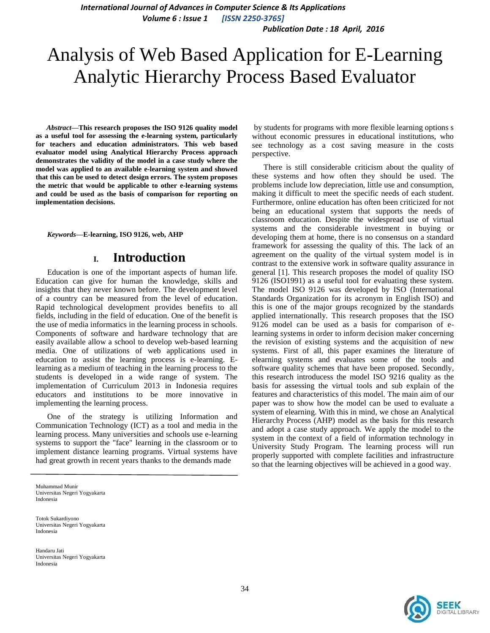*International Journal of Advances in Computer Science & Its Applications Volume 6 : Issue 1 [ISSN 2250-3765]*

*Publication Date : 18 April, 2016*

# Analysis of Web Based Application for E-Learning Analytic Hierarchy Process Based Evaluator

*Abstract***—This research proposes the ISO 9126 quality model as a useful tool for assessing the e-learning system, particularly for teachers and education administrators. This web based evaluator model using Analytical Hierarchy Process approach demonstrates the validity of the model in a case study where the model was applied to an available e-learning system and showed that this can be used to detect design errors. The system proposes the metric that would be applicable to other e-learning systems and could be used as the basis of comparison for reporting on implementation decisions.** 

*Keywords—***E-learning, ISO 9126, web, AHP**

## **I. Introduction**

Education is one of the important aspects of human life. Education can give for human the knowledge, skills and insights that they never known before. The development level of a country can be measured from the level of education. Rapid technological development provides benefits to all fields, including in the field of education. One of the benefit is the use of media informatics in the learning process in schools. Components of software and hardware technology that are easily available allow a school to develop web-based learning media. One of utilizations of web applications used in education to assist the learning process is e-learning. Elearning as a medium of teaching in the learning process to the students is developed in a wide range of system. The implementation of Curriculum 2013 in Indonesia requires educators and institutions to be more innovative in implementing the learning process.

One of the strategy is utilizing Information and Communication Technology (ICT) as a tool and media in the learning process. Many universities and schools use e-learning systems to support the "face" learning in the classroom or to implement distance learning programs. Virtual systems have had great growth in recent years thanks to the demands made

Muhammad Munir Universitas Negeri Yogyakarta Indonesia

Totok Sukardiyono Universitas Negeri Yogyakarta Indonesia

Handaru Jati Universitas Negeri Yogyakarta Indonesia

by students for programs with more flexible learning options s without economic pressures in educational institutions, who see technology as a cost saving measure in the costs perspective.

There is still considerable criticism about the quality of these systems and how often they should be used. The problems include low depreciation, little use and consumption, making it difficult to meet the specific needs of each student. Furthermore, online education has often been criticized for not being an educational system that supports the needs of classroom education. Despite the widespread use of virtual systems and the considerable investment in buying or developing them at home, there is no consensus on a standard framework for assessing the quality of this. The lack of an agreement on the quality of the virtual system model is in contrast to the extensive work in software quality assurance in general [1]. This research proposes the model of quality ISO 9126 (ISO1991) as a useful tool for evaluating these system. The model ISO 9126 was developed by ISO (International Standards Organization for its acronym in English ISO) and this is one of the major groups recognized by the standards applied internationally. This research proposes that the ISO 9126 model can be used as a basis for comparison of elearning systems in order to inform decision maker concerning the revision of existing systems and the acquisition of new systems. First of all, this paper examines the literature of elearning systems and evaluates some of the tools and software quality schemes that have been proposed. Secondly, this research introducess the model ISO 9216 quality as the basis for assessing the virtual tools and sub explain of the features and characteristics of this model. The main aim of our paper was to show how the model can be used to evaluate a system of elearning. With this in mind, we chose an Analytical Hierarchy Process (AHP) model as the basis for this research and adopt a case study approach. We apply the model to the system in the context of a field of information technology in University Study Program. The learning process will run properly supported with complete facilities and infrastructure so that the learning objectives will be achieved in a good way.

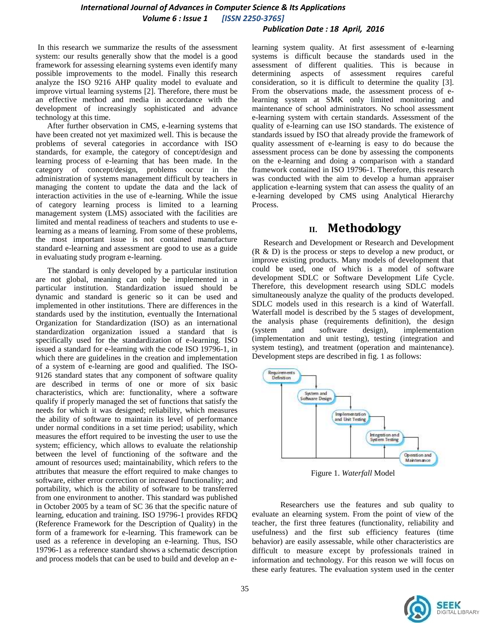### *International Journal of Advances in Computer Science & Its Applications Volume 6 : Issue 1 [ISSN 2250-3765]*

#### *Publication Date : 18 April, 2016*

In this research we summarize the results of the assessment system: our results generally show that the model is a good framework for assessing elearning systems even identify many possible improvements to the model. Finally this research analyze the ISO 9216 AHP quality model to evaluate and improve virtual learning systems [2]. Therefore, there must be an effective method and media in accordance with the development of increasingly sophisticated and advance technology at this time.

After further observation in CMS, e-learning systems that have been created not yet maximized well. This is because the problems of several categories in accordance with ISO standards, for example, the category of concept/design and learning process of e-learning that has been made. In the category of concept/design, problems occur in the administration of systems management difficult by teachers in managing the content to update the data and the lack of interaction activities in the use of e-learning. While the issue of category learning process is limited to a learning management system (LMS) associated with the facilities are limited and mental readiness of teachers and students to use elearning as a means of learning. From some of these problems, the most important issue is not contained manufacture standard e-learning and assessment are good to use as a guide in evaluating study program e-learning.

The standard is only developed by a particular institution are not global, meaning can only be implemented in a particular institution. Standardization issued should be dynamic and standard is generic so it can be used and implemented in other institutions. There are differences in the standards used by the institution, eventually the International Organization for Standardization (ISO) as an international standardization organization issued a standard that is specifically used for the standardization of e-learning. ISO issued a standard for e-learning with the code ISO 19796-1, in which there are guidelines in the creation and implementation of a system of e-learning are good and qualified. The ISO-9126 standard states that any component of software quality are described in terms of one or more of six basic characteristics, which are: functionality, where a software qualify if properly managed the set of functions that satisfy the needs for which it was designed; reliability, which measures the ability of software to maintain its level of performance under normal conditions in a set time period; usability, which measures the effort required to be investing the user to use the system; efficiency, which allows to evaluate the relationship between the level of functioning of the software and the amount of resources used; maintainability, which refers to the attributes that measure the effort required to make changes to software, either error correction or increased functionality; and portability, which is the ability of software to be transferred from one environment to another. This standard was published in October 2005 by a team of SC 36 that the specific nature of learning, education and training. ISO 19796-1 provides RFDQ (Reference Framework for the Description of Quality) in the form of a framework for e-learning. This framework can be used as a reference in developing an e-learning. Thus, ISO 19796-1 as a reference standard shows a schematic description and process models that can be used to build and develop an elearning system quality. At first assessment of e-learning systems is difficult because the standards used in the assessment of different qualities. This is because in determining aspects of assessment requires careful consideration, so it is difficult to determine the quality [3]. From the observations made, the assessment process of elearning system at SMK only limited monitoring and maintenance of school administrators. No school assessment e-learning system with certain standards. Assessment of the quality of e-learning can use ISO standards. The existence of standards issued by ISO that already provide the framework of quality assessment of e-learning is easy to do because the assessment process can be done by assessing the components on the e-learning and doing a comparison with a standard framework contained in ISO 19796-1. Therefore, this research was conducted with the aim to develop a human appraiser application e-learning system that can assess the quality of an e-learning developed by CMS using Analytical Hierarchy Process.

# **II. Methodology**

Research and Development or Research and Development (R & D) is the process or steps to develop a new product, or improve existing products. Many models of development that could be used, one of which is a model of software development SDLC or Software Development Life Cycle. Therefore, this development research using SDLC models simultaneously analyze the quality of the products developed. SDLC models used in this research is a kind of Waterfall. Waterfall model is described by the 5 stages of development, the analysis phase (requirements definition), the design (system and software design), implementation (implementation and unit testing), testing (integration and system testing), and treatment (operation and maintenance). Development steps are described in fig. 1 as follows:



Figure 1. *Waterfall* Model

Researchers use the features and sub quality to evaluate an elearning system. From the point of view of the teacher, the first three features (functionality, reliability and usefulness) and the first sub efficiency features (time behavior) are easily assessable, while other characteristics are difficult to measure except by professionals trained in information and technology. For this reason we will focus on these early features. The evaluation system used in the center

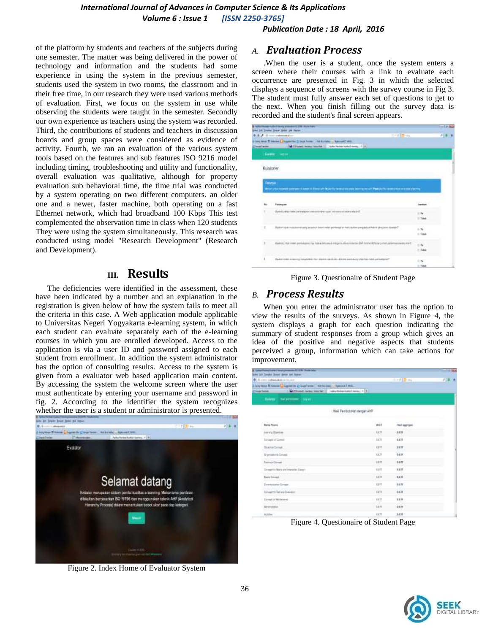### *International Journal of Advances in Computer Science & Its Applications Volume 6 : Issue 1 [ISSN 2250-3765]*

*Publication Date : 18 April, 2016*

of the platform by students and teachers of the subjects during one semester. The matter was being delivered in the power of technology and information and the students had some experience in using the system in the previous semester, students used the system in two rooms, the classroom and in their free time, in our research they were used various methods of evaluation. First, we focus on the system in use while observing the students were taught in the semester. Secondly our own experience as teachers using the system was recorded. Third, the contributions of students and teachers in discussion boards and group spaces were considered as evidence of activity. Fourth, we ran an evaluation of the various system tools based on the features and sub features ISO 9216 model including timing, troubleshooting and utility and functionality, overall evaluation was qualitative, although for property evaluation sub behavioral time, the time trial was conducted by a system operating on two different computers. an older one and a newer, faster machine, both operating on a fast Ethernet network, which had broadband 100 Kbps This test complemented the observation time in class when 120 students They were using the system simultaneously. This research was conducted using model "Research Development" (Research and Development).

## **III. Results**

The deficiencies were identified in the assessment, these have been indicated by a number and an explanation in the registration is given below of how the system fails to meet all the criteria in this case. A Web application module applicable to Universitas Negeri Yogyakarta e-learning system, in which each student can evaluate separately each of the e-learning courses in which you are enrolled developed. Access to the application is via a user ID and password assigned to each student from enrollment. In addition the system administrator has the option of consulting results. Access to the system is given from a evaluator web based application main content. By accessing the system the welcome screen where the user must authenticate by entering your username and password in fig. 2. According to the identifier the system recognizes whether the user is a student or administrator is presented.



Figure 2. Index Home of Evaluator System

#### *A. Evaluation Process*

.When the user is a student, once the system enters a screen where their courses with a link to evaluate each occurrence are presented in Fig. 3 in which the selected displays a sequence of screens with the survey course in Fig 3. The student must fully answer each set of questions to get to the next. When you finish filling out the survey data is recorded and the student's final screen appears.

|                | A Auto/Horse Fulfor Frency Interested 27th Hutch Ado<br>Dret 50 Journe Draw Shier 104 Fabric                                                                               | $-14 - 0.5$         |
|----------------|----------------------------------------------------------------------------------------------------------------------------------------------------------------------------|---------------------|
| Il hope faider | <b>EXPERIENCE</b><br>D.S. F. Grossmannich<br>i segment Sissue (Departie 2 location - ha bridge - Aprox 2 loca-<br>1   CTD and better blocks   Charleston behaviours, 1   8 |                     |
|                | Dealers Linkins                                                                                                                                                            |                     |
| Kusioner       |                                                                                                                                                                            |                     |
|                | <b>Februar</b>                                                                                                                                                             |                     |
|                | Britan urba ha posta acronato di questi il Britan urbi di Serifici nobile pro presidente incipito l'Abdi della basecatore a processo partiri p                             |                     |
|                |                                                                                                                                                                            |                     |
| ÷.             | Performance                                                                                                                                                                |                     |
| ×              | «Важно свои соответствую соответствую совмести отключения.<br><b>SAN AND A REPORT OF A PARTIES</b>                                                                         | $+6$<br>Il Toke     |
| 一言             | . Apaint successioning and bearing internal policing profession of the constant of complete conditions of the first state of the ES                                        | $= 76'$<br>$=$ 1sec |
| £              | Application can policies in the later receiving the later receiving and a service of the service of the service presence receiving the                                     | 1.54<br>1.144       |
| $\pm$          | A 1990 FOR THE R. P. LEWIS CO., LANSING MICH.<br>And of Asian external integrated from exercisive and except and any of an allowable performant                            | $-16$               |

Figure 3. Questionaire of Student Page

## *B. Process Results*

When you enter the administrator user has the option to view the results of the surveys. As shown in Figure 4, the system displays a graph for each question indicating the summary of student responses from a group which gives an idea of the positive and negative aspects that students perceived a group, information which can take actions for improvement.

| <b>B. Schuffebachere / bretuinman 012% Stabilety</b><br>Britt 221 (kinds Sourt Soke AH Arne- |                |               | or base |
|----------------------------------------------------------------------------------------------|----------------|---------------|---------|
| <b>B. A concertaints and contents</b>                                                        |                | fire (Tray    | 25年 月   |
| A lengthour TD honore C Liggred by 2, Scott from Advisorer - Approval Ltd.                   |                |               |         |
| 1 M-73 und mehr, merfall  salu feine habet no es  1 3<br><b>Zilver-Sade</b>                  |                |               |         |
| Summer the personnel inquiri                                                                 |                |               |         |
| Haal Ferriboboah dergan Ardi                                                                 |                |               |         |
| <b>Nanci Fissos</b>                                                                          | Well           | Hart segrepsi |         |
| Hellwig Chevrolet                                                                            | <b>BETT</b>    | <b>ART</b>    |         |
| <b>Environ of Screened</b>                                                                   | $-1.00$        | 6,839         |         |
| Statisticity of                                                                              | <b>GETT</b>    | 8800          |         |
| Drawbakeria Colonia                                                                          | <b>ART</b>     | <b>durr</b>   |         |
| Terminal Compati                                                                             | aatt           | ear           |         |
| Securities Maria and Interactives Deeps-                                                     | 4.011          | <b>BELL</b>   |         |
| Marine Estrawald                                                                             | 4,617          | 3.411         |         |
| Torrestedes Crown                                                                            | 8.811          | 0.877         |         |
| Lincolt to Tamela Linkston                                                                   | n man<br>4,633 | AWIY.         |         |
| <b>Lived of Ballerane</b>                                                                    | $-0.037$       | 3.3.11        |         |
| Malabaran<br>At-training                                                                     | 8.811          | sam           |         |
| 8:5/5m                                                                                       | 5.073          | 6.KFF         |         |

Figure 4. Questionaire of Student Page